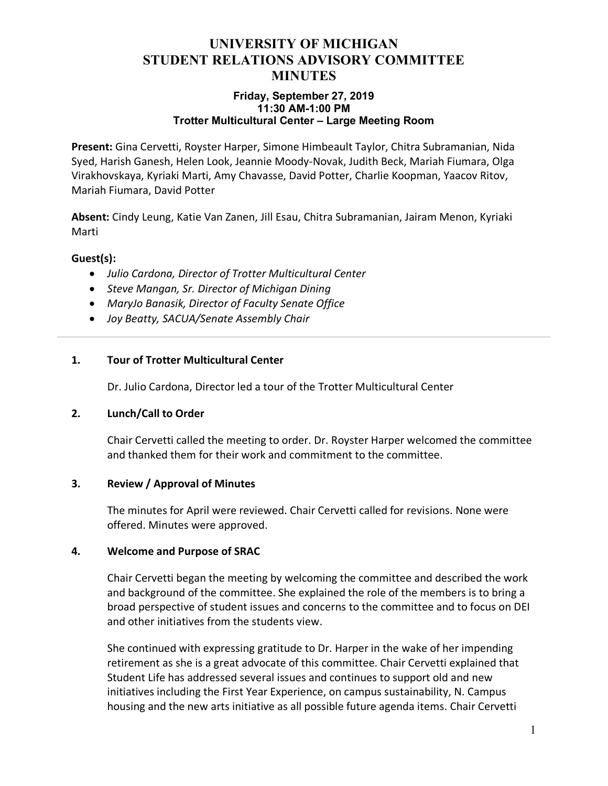## **UNIVERSITY OF MICHIGAN STUDENT RELATIONS ADVISORY COMMITTEE MINUTES**

#### **Friday, September 27, 2019 11:30 AM-1:00 PM Trotter Multicultural Center – Large Meeting Room**

**Present:** Gina Cervetti, Royster Harper, Simone Himbeault Taylor, Chitra Subramanian, Nida Syed, Harish Ganesh, Helen Look, Jeannie Moody-Novak, Judith Beck, Mariah Fiumara, Olga Virakhovskaya, Kyriaki Marti, Amy Chavasse, David Potter, Charlie Koopman, Yaacov Ritov, Mariah Fiumara, David Potter

**Absent:** Cindy Leung, Katie Van Zanen, Jill Esau, Chitra Subramanian, Jairam Menon, Kyriaki Marti

### **Guest(s):**

- *Julio Cardona, Director of Trotter Multicultural Center*
- *Steve Mangan, Sr. Director of Michigan Dining*
- *MaryJo Banasik, Director of Faculty Senate Office*
- *Joy Beatty, SACUA/Senate Assembly Chair*

### **1. Tour of Trotter Multicultural Center**

Dr. Julio Cardona, Director led a tour of the Trotter Multicultural Center

#### **2. Lunch/Call to Order**

Chair Cervetti called the meeting to order. Dr. Royster Harper welcomed the committee and thanked them for their work and commitment to the committee.

#### **3. Review / Approval of Minutes**

The minutes for April were reviewed. Chair Cervetti called for revisions. None were offered. Minutes were approved.

#### **4. Welcome and Purpose of SRAC**

Chair Cervetti began the meeting by welcoming the committee and described the work and background of the committee. She explained the role of the members is to bring a broad perspective of student issues and concerns to the committee and to focus on DEI and other initiatives from the students view.

She continued with expressing gratitude to Dr. Harper in the wake of her impending retirement as she is a great advocate of this committee. Chair Cervetti explained that Student Life has addressed several issues and continues to support old and new initiatives including the First Year Experience, on campus sustainability, N. Campus housing and the new arts initiative as all possible future agenda items. Chair Cervetti